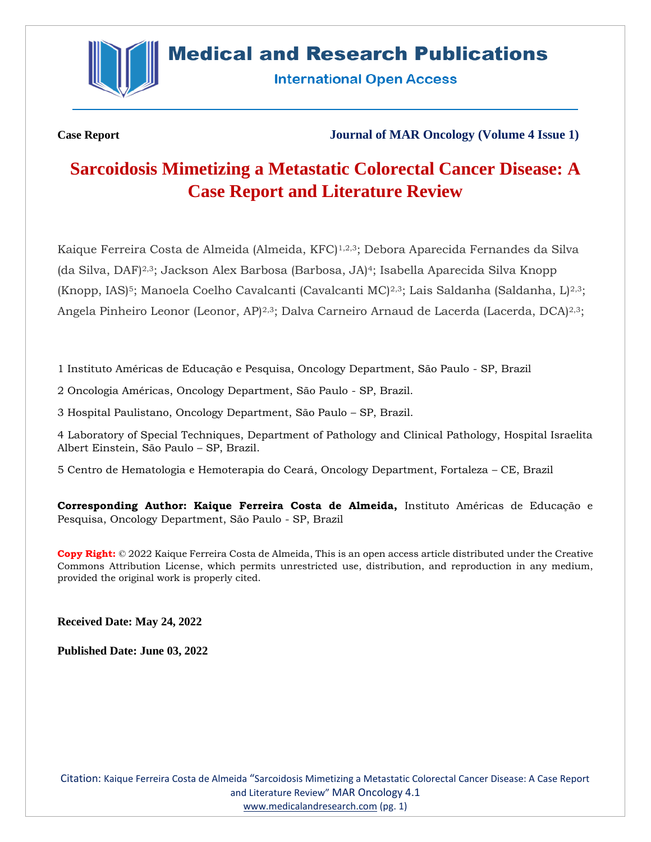

## **Medical and Research Publications**

**International Open Access** 

**Case Report Journal of MAR Oncology (Volume 4 Issue 1)**

# **Sarcoidosis Mimetizing a Metastatic Colorectal Cancer Disease: A Case Report and Literature Review**

Kaique Ferreira Costa de Almeida (Almeida, KFC)<sup>1,2,3</sup>; Debora Aparecida Fernandes da Silva (da Silva, DAF)2,3; Jackson Alex Barbosa (Barbosa, JA)4; Isabella Aparecida Silva Knopp  $(Knopp, IAS)^5$ ; Manoela Coelho Cavalcanti (Cavalcanti MC)<sup>2,3</sup>; Lais Saldanha (Saldanha, L)<sup>2,3</sup>; Angela Pinheiro Leonor (Leonor, AP)<sup>2,3</sup>; Dalva Carneiro Arnaud de Lacerda (Lacerda, DCA)<sup>2,3</sup>;

1 Instituto Américas de Educação e Pesquisa, Oncology Department, São Paulo - SP, Brazil

2 Oncologia Américas, Oncology Department, São Paulo - SP, Brazil.

3 Hospital Paulistano, Oncology Department, São Paulo – SP, Brazil.

4 Laboratory of Special Techniques, Department of Pathology and Clinical Pathology, Hospital Israelita Albert Einstein, São Paulo – SP, Brazil.

5 Centro de Hematologia e Hemoterapia do Ceará, Oncology Department, Fortaleza – CE, Brazil

**Corresponding Author: Kaique Ferreira Costa de Almeida,** Instituto Américas de Educação e Pesquisa, Oncology Department, São Paulo - SP, Brazil

**Copy Right:** © 2022 Kaique Ferreira Costa de Almeida, This is an open access article distributed under the Creative Commons Attribution License, which permits unrestricted use, distribution, and reproduction in any medium, provided the original work is properly cited.

**Received Date: May 24, 2022**

**Published Date: June 03, 2022**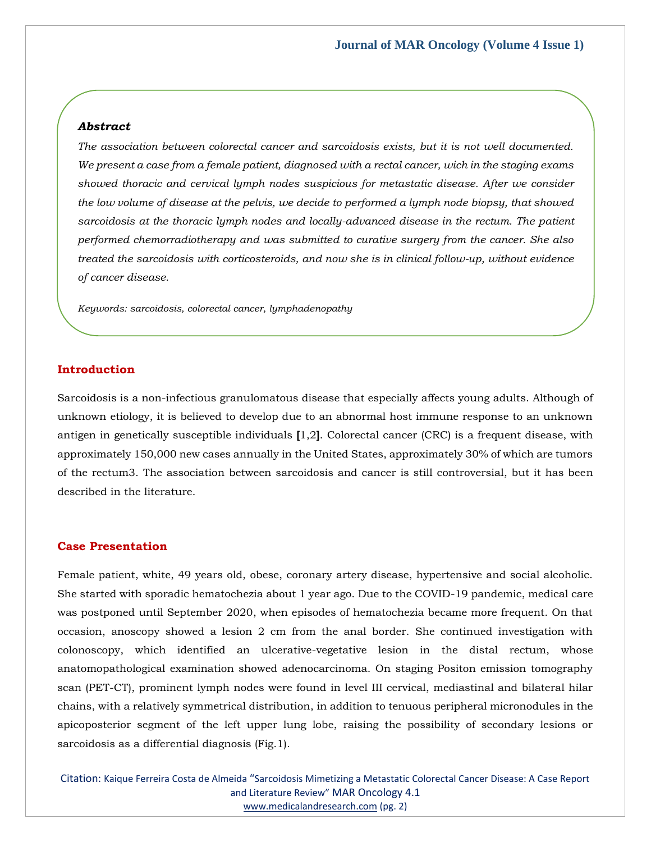## *Abstract*

*The association between colorectal cancer and sarcoidosis exists, but it is not well documented. We present a case from a female patient, diagnosed with a rectal cancer, wich in the staging exams showed thoracic and cervical lymph nodes suspicious for metastatic disease. After we consider the low volume of disease at the pelvis, we decide to performed a lymph node biopsy, that showed*  sarcoidosis at the thoracic lymph nodes and locally-advanced disease in the rectum. The patient *performed chemorradiotherapy and was submitted to curative surgery from the cancer. She also treated the sarcoidosis with corticosteroids, and now she is in clinical follow-up, without evidence of cancer disease.*

*Keywords: sarcoidosis, colorectal cancer, lymphadenopathy*

## **Introduction**

Sarcoidosis is a non-infectious granulomatous disease that especially affects young adults. Although of unknown etiology, it is believed to develop due to an abnormal host immune response to an unknown antigen in genetically susceptible individuals **[**1,2**]**. Colorectal cancer (CRC) is a frequent disease, with approximately 150,000 new cases annually in the United States, approximately 30% of which are tumors of the rectum3. The association between sarcoidosis and cancer is still controversial, but it has been described in the literature.

## **Case Presentation**

Female patient, white, 49 years old, obese, coronary artery disease, hypertensive and social alcoholic. She started with sporadic hematochezia about 1 year ago. Due to the COVID-19 pandemic, medical care was postponed until September 2020, when episodes of hematochezia became more frequent. On that occasion, anoscopy showed a lesion 2 cm from the anal border. She continued investigation with colonoscopy, which identified an ulcerative-vegetative lesion in the distal rectum, whose anatomopathological examination showed adenocarcinoma. On staging Positon emission tomography scan (PET-CT), prominent lymph nodes were found in level III cervical, mediastinal and bilateral hilar chains, with a relatively symmetrical distribution, in addition to tenuous peripheral micronodules in the apicoposterior segment of the left upper lung lobe, raising the possibility of secondary lesions or sarcoidosis as a differential diagnosis (Fig.1).

Citation: Kaique Ferreira Costa de Almeida "Sarcoidosis Mimetizing a Metastatic Colorectal Cancer Disease: A Case Report and Literature Review" MAR Oncology 4.1 [www.medicalandresearch.com](http://www.medicalandresearch.com/) (pg. 2)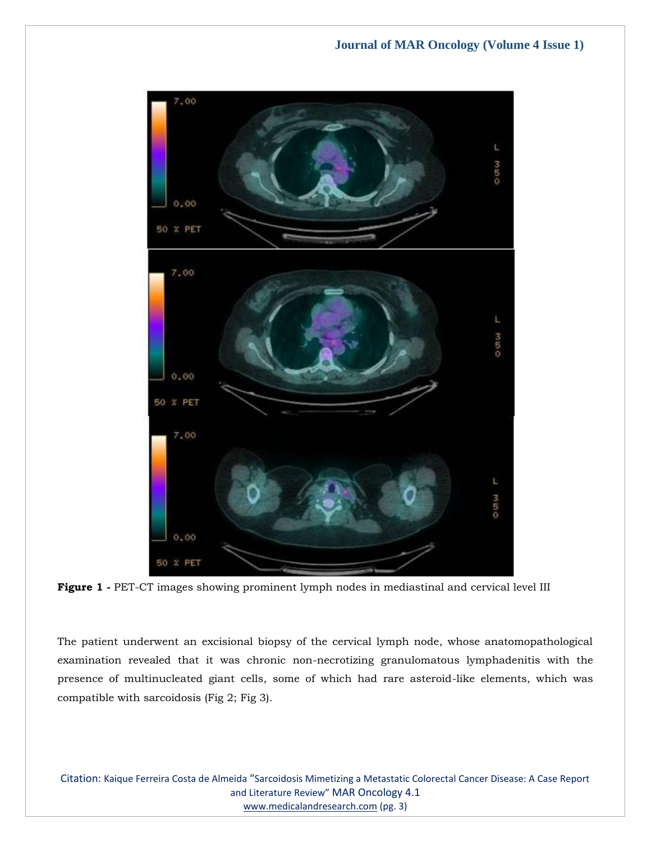

**Figure 1 -** PET-CT images showing prominent lymph nodes in mediastinal and cervical level III

The patient underwent an excisional biopsy of the cervical lymph node, whose anatomopathological examination revealed that it was chronic non-necrotizing granulomatous lymphadenitis with the presence of multinucleated giant cells, some of which had rare asteroid-like elements, which was compatible with sarcoidosis (Fig 2; Fig 3).

Citation: Kaique Ferreira Costa de Almeida "Sarcoidosis Mimetizing a Metastatic Colorectal Cancer Disease: A Case Report and Literature Review" MAR Oncology 4.1 [www.medicalandresearch.com](http://www.medicalandresearch.com/) (pg. 3)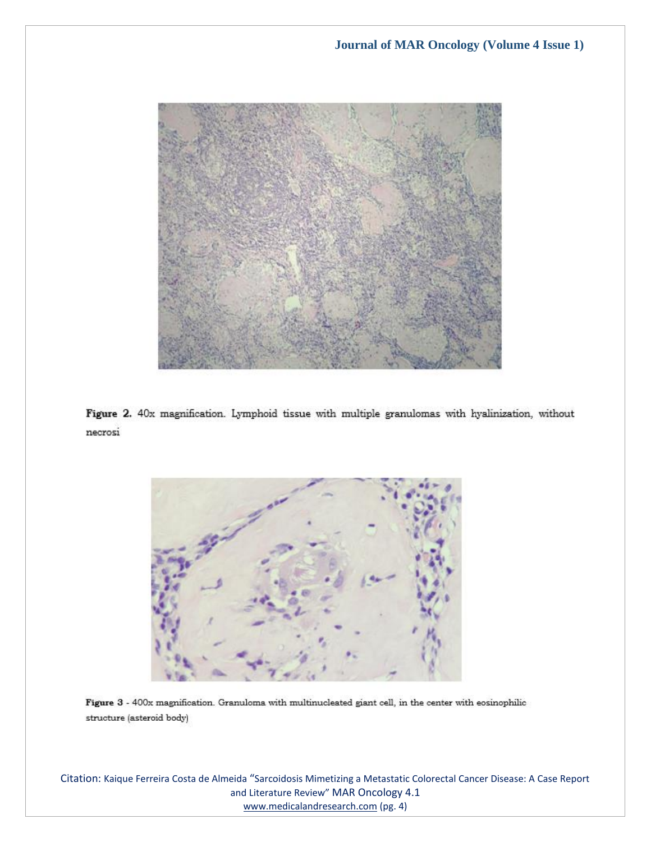

Figure 2. 40x magnification. Lymphoid tissue with multiple granulomas with hyalinization, without necrosi



Figure 3 - 400x magnification. Granuloma with multinucleated giant cell, in the center with eosinophilic structure (asteroid body)

Citation: Kaique Ferreira Costa de Almeida "Sarcoidosis Mimetizing a Metastatic Colorectal Cancer Disease: A Case Report and Literature Review" MAR Oncology 4.1 [www.medicalandresearch.com](http://www.medicalandresearch.com/) (pg. 4)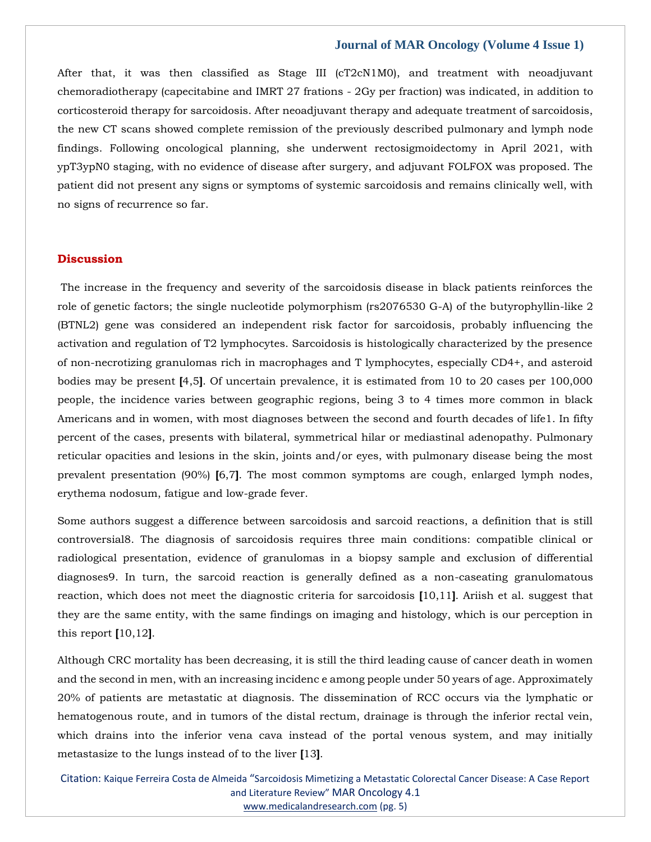After that, it was then classified as Stage III (cT2cN1M0), and treatment with neoadjuvant chemoradiotherapy (capecitabine and IMRT 27 frations - 2Gy per fraction) was indicated, in addition to corticosteroid therapy for sarcoidosis. After neoadjuvant therapy and adequate treatment of sarcoidosis, the new CT scans showed complete remission of the previously described pulmonary and lymph node findings. Following oncological planning, she underwent rectosigmoidectomy in April 2021, with ypT3ypN0 staging, with no evidence of disease after surgery, and adjuvant FOLFOX was proposed. The patient did not present any signs or symptoms of systemic sarcoidosis and remains clinically well, with no signs of recurrence so far.

## **Discussion**

The increase in the frequency and severity of the sarcoidosis disease in black patients reinforces the role of genetic factors; the single nucleotide polymorphism (rs2076530 G-A) of the butyrophyllin-like 2 (BTNL2) gene was considered an independent risk factor for sarcoidosis, probably influencing the activation and regulation of T2 lymphocytes. Sarcoidosis is histologically characterized by the presence of non-necrotizing granulomas rich in macrophages and T lymphocytes, especially CD4+, and asteroid bodies may be present **[**4,5**]**. Of uncertain prevalence, it is estimated from 10 to 20 cases per 100,000 people, the incidence varies between geographic regions, being 3 to 4 times more common in black Americans and in women, with most diagnoses between the second and fourth decades of life1. In fifty percent of the cases, presents with bilateral, symmetrical hilar or mediastinal adenopathy. Pulmonary reticular opacities and lesions in the skin, joints and/or eyes, with pulmonary disease being the most prevalent presentation (90%) **[**6,7**]**. The most common symptoms are cough, enlarged lymph nodes, erythema nodosum, fatigue and low-grade fever.

Some authors suggest a difference between sarcoidosis and sarcoid reactions, a definition that is still controversial8. The diagnosis of sarcoidosis requires three main conditions: compatible clinical or radiological presentation, evidence of granulomas in a biopsy sample and exclusion of differential diagnoses9. In turn, the sarcoid reaction is generally defined as a non-caseating granulomatous reaction, which does not meet the diagnostic criteria for sarcoidosis **[**10,11**]**. Ariish et al. suggest that they are the same entity, with the same findings on imaging and histology, which is our perception in this report **[**10,12**]**.

Although CRC mortality has been decreasing, it is still the third leading cause of cancer death in women and the second in men, with an increasing incidenc e among people under 50 years of age. Approximately 20% of patients are metastatic at diagnosis. The dissemination of RCC occurs via the lymphatic or hematogenous route, and in tumors of the distal rectum, drainage is through the inferior rectal vein, which drains into the inferior vena cava instead of the portal venous system, and may initially metastasize to the lungs instead of to the liver **[**13**]**.

Citation: Kaique Ferreira Costa de Almeida "Sarcoidosis Mimetizing a Metastatic Colorectal Cancer Disease: A Case Report and Literature Review" MAR Oncology 4.1 [www.medicalandresearch.com](http://www.medicalandresearch.com/) (pg. 5)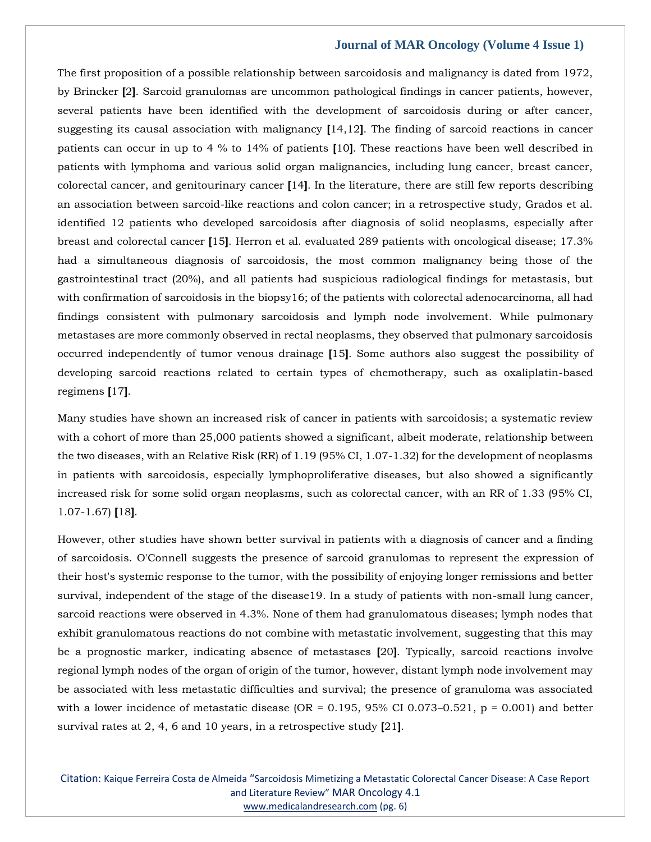The first proposition of a possible relationship between sarcoidosis and malignancy is dated from 1972, by Brincker **[**2**]**. Sarcoid granulomas are uncommon pathological findings in cancer patients, however, several patients have been identified with the development of sarcoidosis during or after cancer, suggesting its causal association with malignancy **[**14,12**]**. The finding of sarcoid reactions in cancer patients can occur in up to 4 % to 14% of patients **[**10**]**. These reactions have been well described in patients with lymphoma and various solid organ malignancies, including lung cancer, breast cancer, colorectal cancer, and genitourinary cancer **[**14**]**. In the literature, there are still few reports describing an association between sarcoid-like reactions and colon cancer; in a retrospective study, Grados et al. identified 12 patients who developed sarcoidosis after diagnosis of solid neoplasms, especially after breast and colorectal cancer **[**15**]**. Herron et al. evaluated 289 patients with oncological disease; 17.3% had a simultaneous diagnosis of sarcoidosis, the most common malignancy being those of the gastrointestinal tract (20%), and all patients had suspicious radiological findings for metastasis, but with confirmation of sarcoidosis in the biopsy16; of the patients with colorectal adenocarcinoma, all had findings consistent with pulmonary sarcoidosis and lymph node involvement. While pulmonary metastases are more commonly observed in rectal neoplasms, they observed that pulmonary sarcoidosis occurred independently of tumor venous drainage **[**15**]**. Some authors also suggest the possibility of developing sarcoid reactions related to certain types of chemotherapy, such as oxaliplatin-based regimens **[**17**]**.

Many studies have shown an increased risk of cancer in patients with sarcoidosis; a systematic review with a cohort of more than 25,000 patients showed a significant, albeit moderate, relationship between the two diseases, with an Relative Risk (RR) of 1.19 (95% CI, 1.07-1.32) for the development of neoplasms in patients with sarcoidosis, especially lymphoproliferative diseases, but also showed a significantly increased risk for some solid organ neoplasms, such as colorectal cancer, with an RR of 1.33 (95% CI, 1.07-1.67) **[**18**]**.

However, other studies have shown better survival in patients with a diagnosis of cancer and a finding of sarcoidosis. O'Connell suggests the presence of sarcoid granulomas to represent the expression of their host's systemic response to the tumor, with the possibility of enjoying longer remissions and better survival, independent of the stage of the disease19. In a study of patients with non-small lung cancer, sarcoid reactions were observed in 4.3%. None of them had granulomatous diseases; lymph nodes that exhibit granulomatous reactions do not combine with metastatic involvement, suggesting that this may be a prognostic marker, indicating absence of metastases **[**20**]**. Typically, sarcoid reactions involve regional lymph nodes of the organ of origin of the tumor, however, distant lymph node involvement may be associated with less metastatic difficulties and survival; the presence of granuloma was associated with a lower incidence of metastatic disease (OR = 0.195, 95% CI 0.073–0.521,  $p = 0.001$ ) and better survival rates at 2, 4, 6 and 10 years, in a retrospective study **[**21**]**.

Citation: Kaique Ferreira Costa de Almeida "Sarcoidosis Mimetizing a Metastatic Colorectal Cancer Disease: A Case Report and Literature Review" MAR Oncology 4.1 [www.medicalandresearch.com](http://www.medicalandresearch.com/) (pg. 6)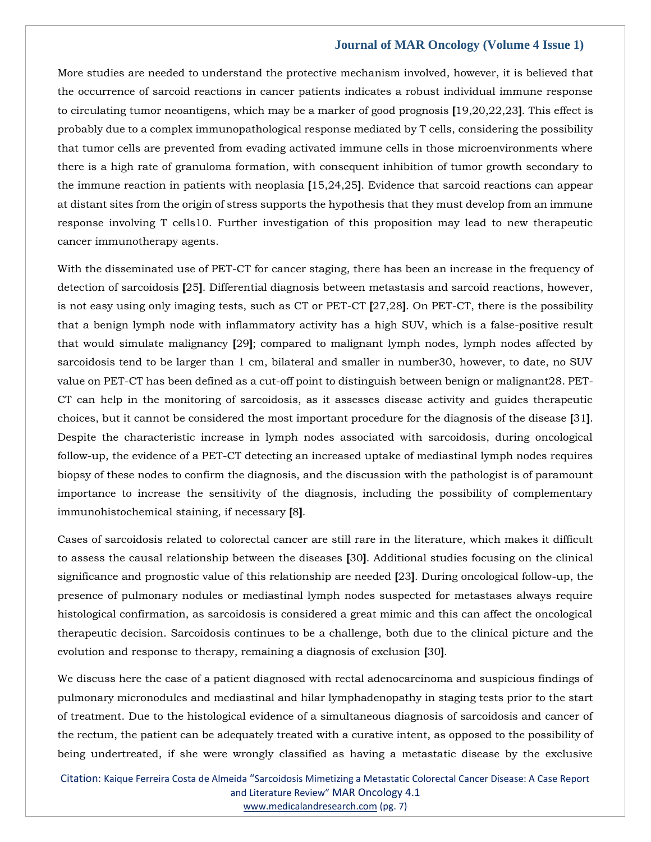More studies are needed to understand the protective mechanism involved, however, it is believed that the occurrence of sarcoid reactions in cancer patients indicates a robust individual immune response to circulating tumor neoantigens, which may be a marker of good prognosis **[**19,20,22,23**]**. This effect is probably due to a complex immunopathological response mediated by T cells, considering the possibility that tumor cells are prevented from evading activated immune cells in those microenvironments where there is a high rate of granuloma formation, with consequent inhibition of tumor growth secondary to the immune reaction in patients with neoplasia **[**15,24,25**]**. Evidence that sarcoid reactions can appear at distant sites from the origin of stress supports the hypothesis that they must develop from an immune response involving T cells10. Further investigation of this proposition may lead to new therapeutic cancer immunotherapy agents.

With the disseminated use of PET-CT for cancer staging, there has been an increase in the frequency of detection of sarcoidosis **[**25**]**. Differential diagnosis between metastasis and sarcoid reactions, however, is not easy using only imaging tests, such as CT or PET-CT **[**27,28**]**. On PET-CT, there is the possibility that a benign lymph node with inflammatory activity has a high SUV, which is a false-positive result that would simulate malignancy **[**29**]**; compared to malignant lymph nodes, lymph nodes affected by sarcoidosis tend to be larger than 1 cm, bilateral and smaller in number30, however, to date, no SUV value on PET-CT has been defined as a cut-off point to distinguish between benign or malignant28. PET-CT can help in the monitoring of sarcoidosis, as it assesses disease activity and guides therapeutic choices, but it cannot be considered the most important procedure for the diagnosis of the disease **[**31**]**. Despite the characteristic increase in lymph nodes associated with sarcoidosis, during oncological follow-up, the evidence of a PET-CT detecting an increased uptake of mediastinal lymph nodes requires biopsy of these nodes to confirm the diagnosis, and the discussion with the pathologist is of paramount importance to increase the sensitivity of the diagnosis, including the possibility of complementary immunohistochemical staining, if necessary **[**8**]**.

Cases of sarcoidosis related to colorectal cancer are still rare in the literature, which makes it difficult to assess the causal relationship between the diseases **[**30**]**. Additional studies focusing on the clinical significance and prognostic value of this relationship are needed **[**23**]**. During oncological follow-up, the presence of pulmonary nodules or mediastinal lymph nodes suspected for metastases always require histological confirmation, as sarcoidosis is considered a great mimic and this can affect the oncological therapeutic decision. Sarcoidosis continues to be a challenge, both due to the clinical picture and the evolution and response to therapy, remaining a diagnosis of exclusion **[**30**]**.

We discuss here the case of a patient diagnosed with rectal adenocarcinoma and suspicious findings of pulmonary micronodules and mediastinal and hilar lymphadenopathy in staging tests prior to the start of treatment. Due to the histological evidence of a simultaneous diagnosis of sarcoidosis and cancer of the rectum, the patient can be adequately treated with a curative intent, as opposed to the possibility of being undertreated, if she were wrongly classified as having a metastatic disease by the exclusive

Citation: Kaique Ferreira Costa de Almeida "Sarcoidosis Mimetizing a Metastatic Colorectal Cancer Disease: A Case Report and Literature Review" MAR Oncology 4.1 [www.medicalandresearch.com](http://www.medicalandresearch.com/) (pg. 7)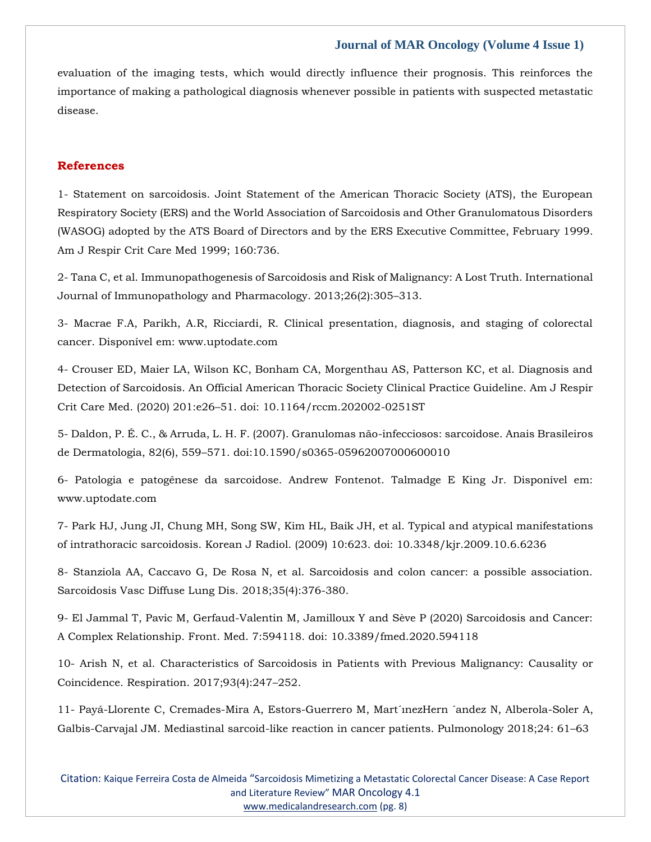evaluation of the imaging tests, which would directly influence their prognosis. This reinforces the importance of making a pathological diagnosis whenever possible in patients with suspected metastatic disease.

## **References**

1- Statement on sarcoidosis. Joint Statement of the American Thoracic Society (ATS), the European Respiratory Society (ERS) and the World Association of Sarcoidosis and Other Granulomatous Disorders (WASOG) adopted by the ATS Board of Directors and by the ERS Executive Committee, February 1999. Am J Respir Crit Care Med 1999; 160:736.

2- Tana C, et al. Immunopathogenesis of Sarcoidosis and Risk of Malignancy: A Lost Truth. International Journal of Immunopathology and Pharmacology. 2013;26(2):305–313.

3- Macrae F.A, Parikh, A.R, Ricciardi, R. Clinical presentation, diagnosis, and staging of colorectal cancer. Disponível em: www.uptodate.com

4- Crouser ED, Maier LA, Wilson KC, Bonham CA, Morgenthau AS, Patterson KC, et al. Diagnosis and Detection of Sarcoidosis. An Official American Thoracic Society Clinical Practice Guideline. Am J Respir Crit Care Med. (2020) 201:e26–51. doi: 10.1164/rccm.202002-0251ST

5- Daldon, P. É. C., & Arruda, L. H. F. (2007). Granulomas não-infecciosos: sarcoidose. Anais Brasileiros de Dermatologia, 82(6), 559–571. doi:10.1590/s0365-05962007000600010

6- Patologia e patogênese da sarcoidose. Andrew Fontenot. Talmadge E King Jr. Disponível em: www.uptodate.com

7- Park HJ, Jung JI, Chung MH, Song SW, Kim HL, Baik JH, et al. Typical and atypical manifestations of intrathoracic sarcoidosis. Korean J Radiol. (2009) 10:623. doi: 10.3348/kjr.2009.10.6.6236

8- Stanziola AA, Caccavo G, De Rosa N, et al. Sarcoidosis and colon cancer: a possible association. Sarcoidosis Vasc Diffuse Lung Dis. 2018;35(4):376-380.

9- El Jammal T, Pavic M, Gerfaud-Valentin M, Jamilloux Y and Sève P (2020) Sarcoidosis and Cancer: A Complex Relationship. Front. Med. 7:594118. doi: 10.3389/fmed.2020.594118

10- Arish N, et al. Characteristics of Sarcoidosis in Patients with Previous Malignancy: Causality or Coincidence. Respiration. 2017;93(4):247–252.

11- Payá-Llorente C, Cremades-Mira A, Estors-Guerrero M, Mart´ınezHern ´andez N, Alberola-Soler A, Galbis-Carvajal JM. Mediastinal sarcoid-like reaction in cancer patients. Pulmonology 2018;24: 61–63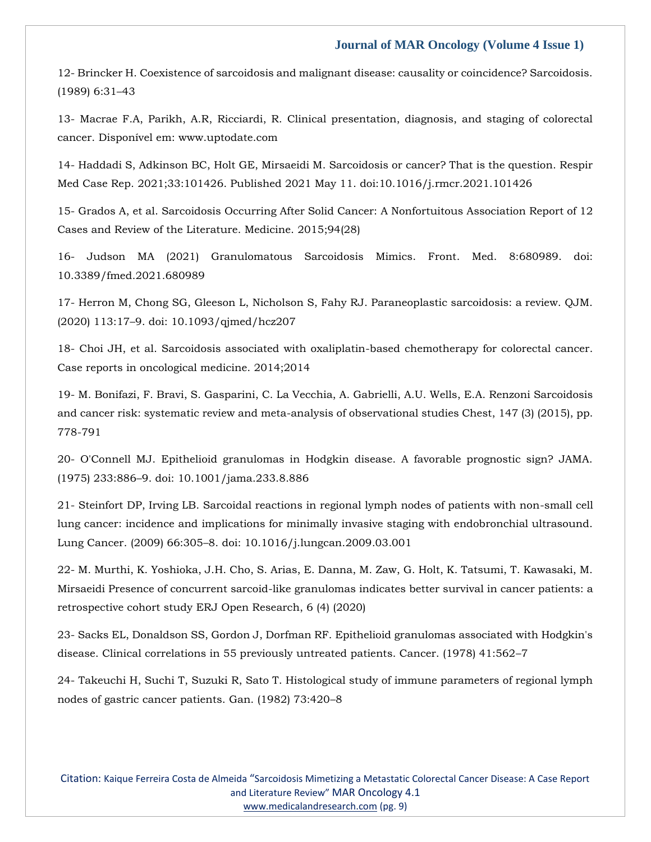12- Brincker H. Coexistence of sarcoidosis and malignant disease: causality or coincidence? Sarcoidosis. (1989) 6:31–43

13- Macrae F.A, Parikh, A.R, Ricciardi, R. Clinical presentation, diagnosis, and staging of colorectal cancer. Disponível em: www.uptodate.com

14- Haddadi S, Adkinson BC, Holt GE, Mirsaeidi M. Sarcoidosis or cancer? That is the question. Respir Med Case Rep. 2021;33:101426. Published 2021 May 11. doi:10.1016/j.rmcr.2021.101426

15- Grados A, et al. Sarcoidosis Occurring After Solid Cancer: A Nonfortuitous Association Report of 12 Cases and Review of the Literature. Medicine. 2015;94(28)

16- Judson MA (2021) Granulomatous Sarcoidosis Mimics. Front. Med. 8:680989. doi: 10.3389/fmed.2021.680989

17- Herron M, Chong SG, Gleeson L, Nicholson S, Fahy RJ. Paraneoplastic sarcoidosis: a review. QJM. (2020) 113:17–9. doi: 10.1093/qjmed/hcz207

18- Choi JH, et al. Sarcoidosis associated with oxaliplatin-based chemotherapy for colorectal cancer. Case reports in oncological medicine. 2014;2014

19- M. Bonifazi, F. Bravi, S. Gasparini, C. La Vecchia, A. Gabrielli, A.U. Wells, E.A. Renzoni Sarcoidosis and cancer risk: systematic review and meta-analysis of observational studies Chest, 147 (3) (2015), pp. 778-791

20- O'Connell MJ. Epithelioid granulomas in Hodgkin disease. A favorable prognostic sign? JAMA. (1975) 233:886–9. doi: 10.1001/jama.233.8.886

21- Steinfort DP, Irving LB. Sarcoidal reactions in regional lymph nodes of patients with non-small cell lung cancer: incidence and implications for minimally invasive staging with endobronchial ultrasound. Lung Cancer. (2009) 66:305–8. doi: 10.1016/j.lungcan.2009.03.001

22- M. Murthi, K. Yoshioka, J.H. Cho, S. Arias, E. Danna, M. Zaw, G. Holt, K. Tatsumi, T. Kawasaki, M. Mirsaeidi Presence of concurrent sarcoid-like granulomas indicates better survival in cancer patients: a retrospective cohort study ERJ Open Research, 6 (4) (2020)

23- Sacks EL, Donaldson SS, Gordon J, Dorfman RF. Epithelioid granulomas associated with Hodgkin's disease. Clinical correlations in 55 previously untreated patients. Cancer. (1978) 41:562–7

24- Takeuchi H, Suchi T, Suzuki R, Sato T. Histological study of immune parameters of regional lymph nodes of gastric cancer patients. Gan. (1982) 73:420–8